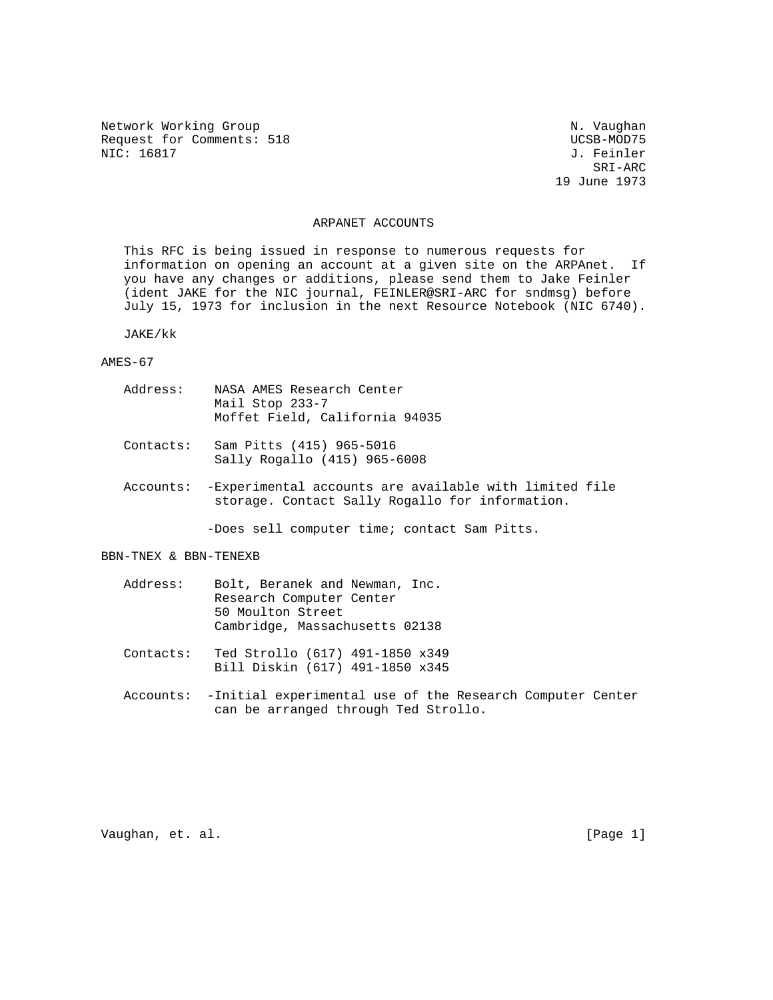Network Working Group Network Working Group Network Working Group Request for Comments: 518 UCSB-MOD75<br>NIC: 16817 J. Feinler

J. Feinler SRI-ARC 19 June 1973

#### ARPANET ACCOUNTS

 This RFC is being issued in response to numerous requests for information on opening an account at a given site on the ARPAnet. If you have any changes or additions, please send them to Jake Feinler (ident JAKE for the NIC journal, FEINLER@SRI-ARC for sndmsg) before July 15, 1973 for inclusion in the next Resource Notebook (NIC 6740).

JAKE/kk

#### AMES-67

| Address: |                 |  | NASA AMES Research Center      |  |
|----------|-----------------|--|--------------------------------|--|
|          | Mail Stop 233-7 |  |                                |  |
|          |                 |  | Moffet Field, California 94035 |  |

- Contacts: Sam Pitts (415) 965-5016 Sally Rogallo (415) 965-6008
- Accounts: -Experimental accounts are available with limited file storage. Contact Sally Rogallo for information.

-Does sell computer time; contact Sam Pitts.

### BBN-TNEX & BBN-TENEXB

| Address: | Bolt, Beranek and Newman, Inc. |
|----------|--------------------------------|
|          | Research Computer Center       |
|          | 50 Moulton Street              |
|          | Cambridge, Massachusetts 02138 |

- Contacts: Ted Strollo (617) 491-1850 x349 Bill Diskin (617) 491-1850 x345
- Accounts: -Initial experimental use of the Research Computer Center can be arranged through Ted Strollo.

Vaughan, et. al. [Page 1]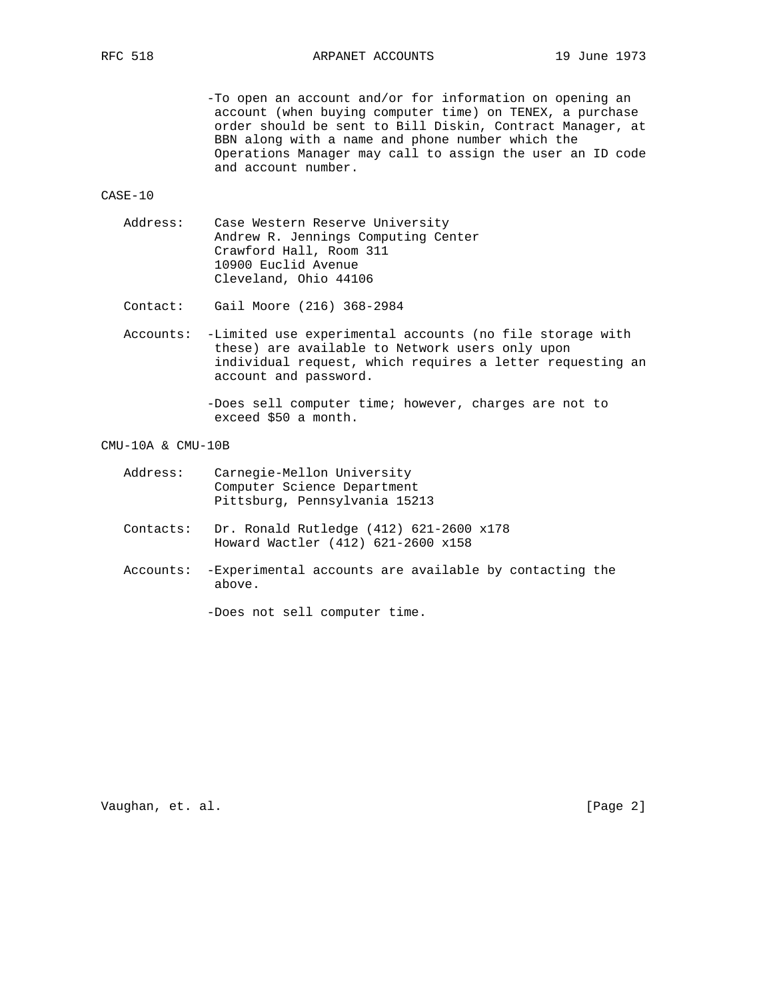-To open an account and/or for information on opening an account (when buying computer time) on TENEX, a purchase order should be sent to Bill Diskin, Contract Manager, at BBN along with a name and phone number which the Operations Manager may call to assign the user an ID code and account number.

CASE-10

 Address: Case Western Reserve University Andrew R. Jennings Computing Center Crawford Hall, Room 311 10900 Euclid Avenue Cleveland, Ohio 44106

Contact: Gail Moore (216) 368-2984

 Accounts: -Limited use experimental accounts (no file storage with these) are available to Network users only upon individual request, which requires a letter requesting an account and password.

> -Does sell computer time; however, charges are not to exceed \$50 a month.

### CMU-10A & CMU-10B

- Address: Carnegie-Mellon University Computer Science Department Pittsburg, Pennsylvania 15213
- Contacts: Dr. Ronald Rutledge (412) 621-2600 x178 Howard Wactler (412) 621-2600 x158
- Accounts: -Experimental accounts are available by contacting the above.

-Does not sell computer time.

Vaughan, et. al. [Page 2]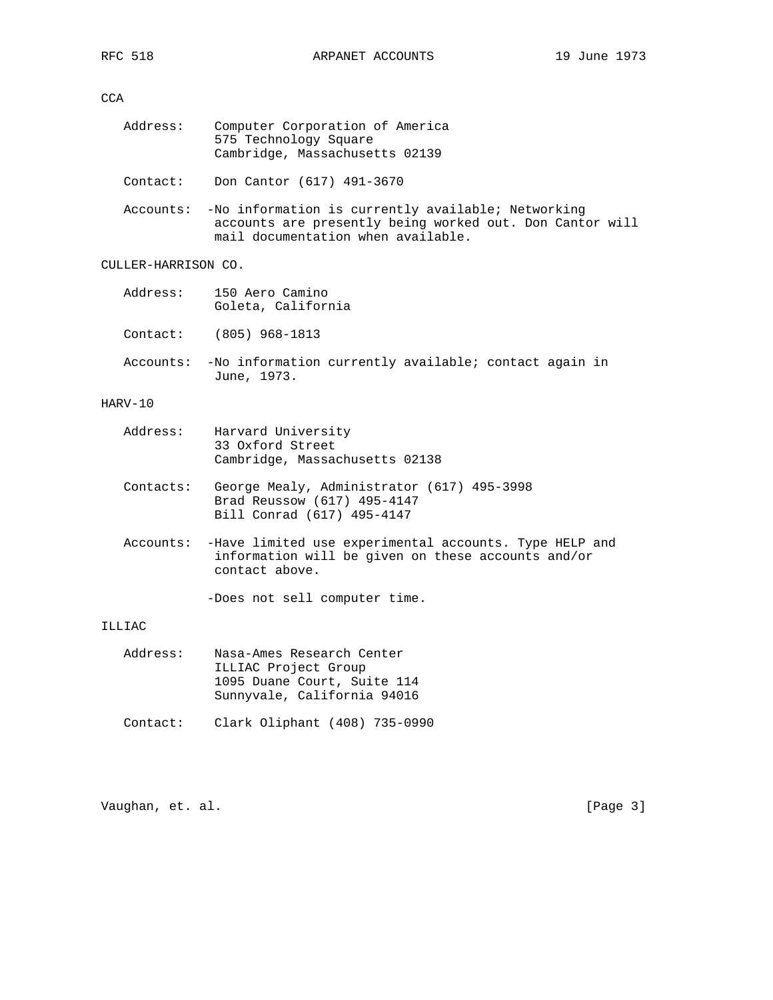## CCA

| Address: | Computer Corporation of America |
|----------|---------------------------------|
|          | 575 Technology Square           |
|          | Cambridge, Massachusetts 02139  |

Contact: Don Cantor (617) 491-3670

 Accounts: -No information is currently available; Networking accounts are presently being worked out. Don Cantor will mail documentation when available.

# CULLER-HARRISON CO.

|    | Address: 150 Aero Camino<br>Goleta, California         |
|----|--------------------------------------------------------|
|    | Contact: (805) 968-1813                                |
| 7. | . Na dufamuatian annoncotte anadlabla t-annoncot-anadu |

 Accounts: -No information currently available; contact again in June, 1973.

## HARV-10

| Address: | Harvard University             |  |
|----------|--------------------------------|--|
|          | 33 Oxford Street               |  |
|          | Cambridge, Massachusetts 02138 |  |

- Contacts: George Mealy, Administrator (617) 495-3998 Brad Reussow (617) 495-4147 Bill Conrad (617) 495-4147
- Accounts: -Have limited use experimental accounts. Type HELP and information will be given on these accounts and/or contact above.

-Does not sell computer time.

## ILLIAC

| Address: | Nasa-Ames Research Center   |
|----------|-----------------------------|
|          | ILLIAC Project Group        |
|          | 1095 Duane Court, Suite 114 |
|          | Sunnyvale, California 94016 |
|          |                             |

Contact: Clark Oliphant (408) 735-0990

Vaughan, et. al. [Page 3]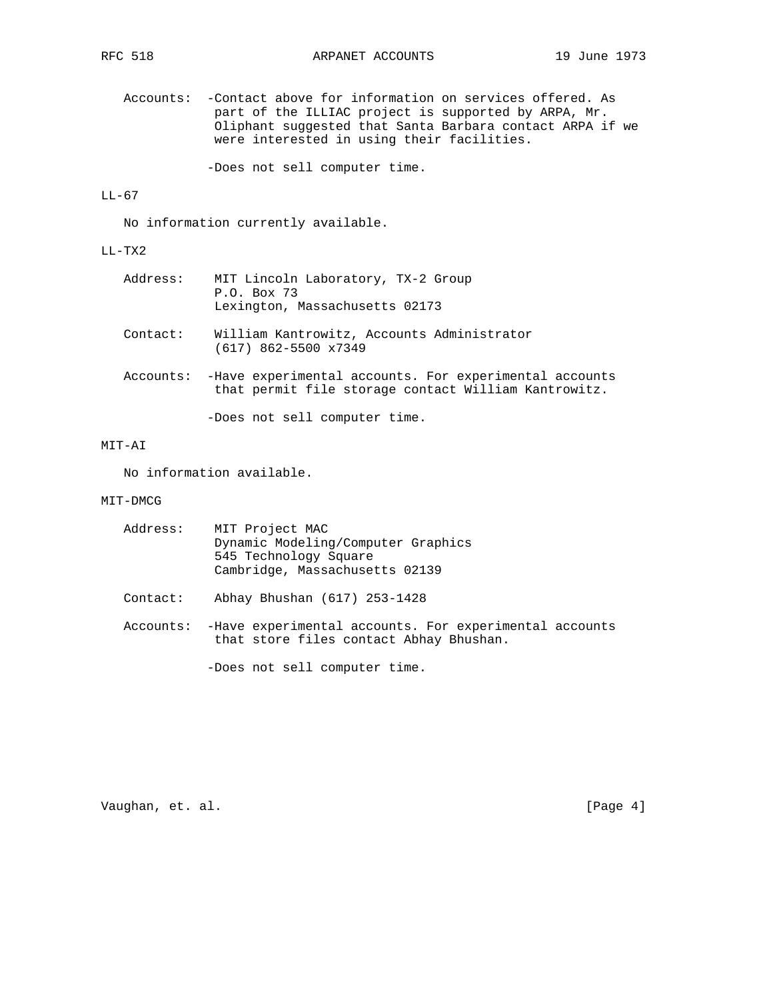Accounts: -Contact above for information on services offered. As part of the ILLIAC project is supported by ARPA, Mr. Oliphant suggested that Santa Barbara contact ARPA if we were interested in using their facilities.

-Does not sell computer time.

# LL-67

No information currently available.

## LL-TX2

| Address: | MIT Lincoln Laboratory, TX-2 Group<br>P.O. Box 73<br>Lexington, Massachusetts 02173                                       |
|----------|---------------------------------------------------------------------------------------------------------------------------|
| Context: | William Kantrowitz, Accounts Administrator<br>$(617)$ 862-5500 x7349                                                      |
|          | Accounts: - Have experimental accounts. For experimental accounts<br>that permit file storage contact William Kantrowitz. |
|          | -Does not sell computer time.                                                                                             |

# MIT-AI

No information available.

## MIT-DMCG

| Address: | MIT Project MAC<br>Dynamic Modeling/Computer Graphics<br>545 Technology Square<br>Cambridge, Massachusetts 02139 |
|----------|------------------------------------------------------------------------------------------------------------------|
| Contact: | Abhay Bhushan (617) 253-1428                                                                                     |
|          | Accounts: - Have experimental accounts. For experimental accounts<br>that store files contact Abhay Bhushan.     |
|          | -Does not sell computer time.                                                                                    |

Vaughan, et. al. [Page 4]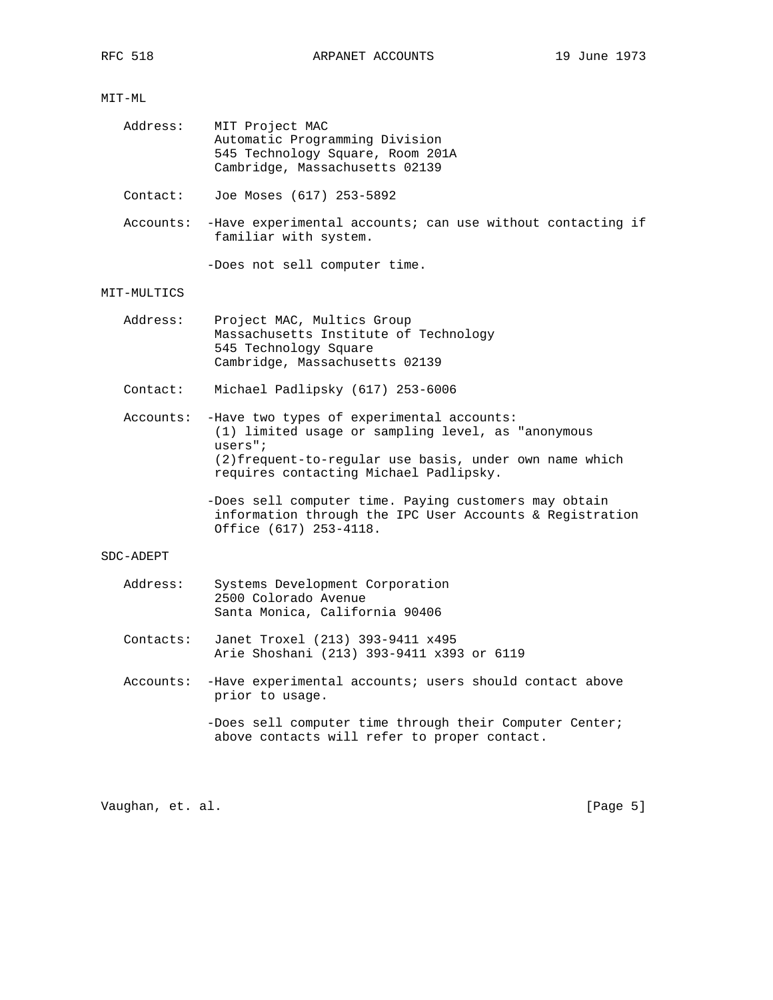# MIT-ML

| Address: | MIT Project MAC                  |
|----------|----------------------------------|
|          | Automatic Programming Division   |
|          | 545 Technology Square, Room 201A |
|          | Cambridge, Massachusetts 02139   |

Contact: Joe Moses (617) 253-5892

 Accounts: -Have experimental accounts; can use without contacting if familiar with system.

-Does not sell computer time.

### MIT-MULTICS

 Address: Project MAC, Multics Group Massachusetts Institute of Technology 545 Technology Square Cambridge, Massachusetts 02139

Contact: Michael Padlipsky (617) 253-6006

 Accounts: -Have two types of experimental accounts: (1) limited usage or sampling level, as "anonymous users"; (2)frequent-to-regular use basis, under own name which requires contacting Michael Padlipsky.

> -Does sell computer time. Paying customers may obtain information through the IPC User Accounts & Registration Office (617) 253-4118.

### SDC-ADEPT

| Address: | Systems Development Corporation |
|----------|---------------------------------|
|          | 2500 Colorado Avenue            |
|          | Santa Monica, California 90406  |

- Contacts: Janet Troxel (213) 393-9411 x495 Arie Shoshani (213) 393-9411 x393 or 6119
- Accounts: -Have experimental accounts; users should contact above prior to usage.

Vaughan, et. al. [Page 5]

<sup>-</sup>Does sell computer time through their Computer Center; above contacts will refer to proper contact.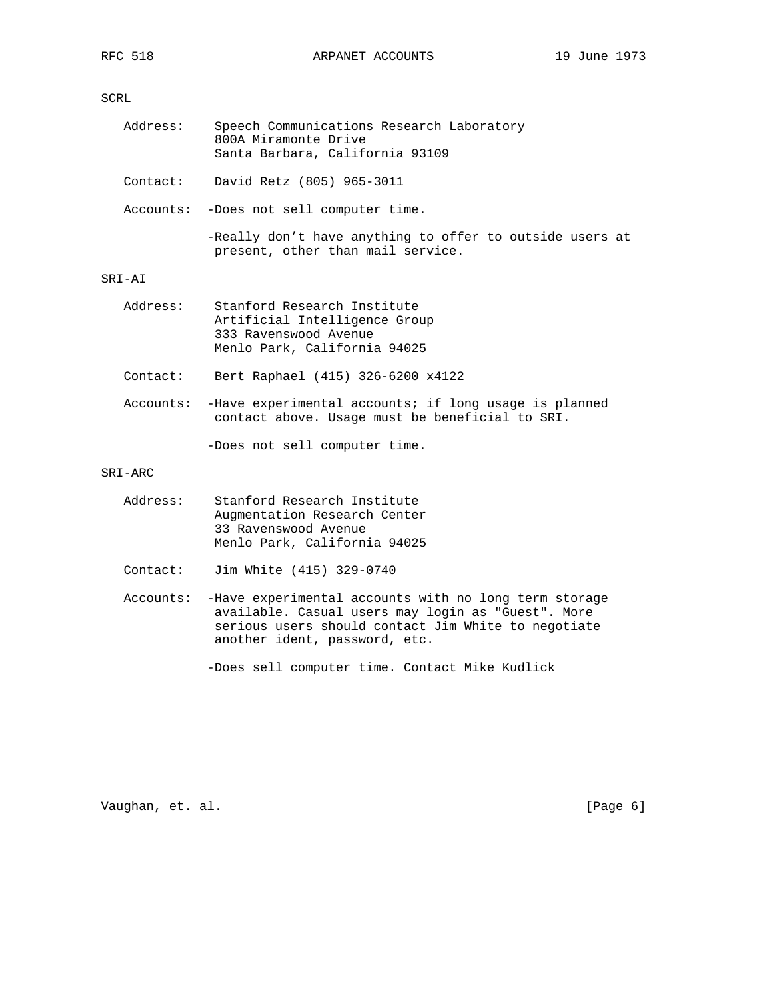SCRL

| Address: | Speech Communications Research Laboratory<br>800A Miramonte Drive<br>Santa Barbara, California 93109                  |
|----------|-----------------------------------------------------------------------------------------------------------------------|
|          | Contact: David Retz $(805)$ 965-3011                                                                                  |
|          | Accounts: -Does not sell computer time.                                                                               |
|          | -Really don't have anything to offer to outside users at<br>present, other than mail service.                         |
| SRI-AI   |                                                                                                                       |
| Address: | Stanford Research Institute<br>Artificial Intelligence Group<br>333 Ravenswood Avenue<br>Menlo Park, California 94025 |
| Contact: | Bert Raphael (415) 326-6200 x4122                                                                                     |

 Accounts: -Have experimental accounts; if long usage is planned contact above. Usage must be beneficial to SRI.

-Does not sell computer time.

SRI-ARC

| Address: | Stanford Research Institute  |
|----------|------------------------------|
|          | Augmentation Research Center |
|          | 33 Ravenswood Avenue         |
|          | Menlo Park, California 94025 |

- Contact: Jim White (415) 329-0740
- Accounts: -Have experimental accounts with no long term storage available. Casual users may login as "Guest". More serious users should contact Jim White to negotiate another ident, password, etc.

-Does sell computer time. Contact Mike Kudlick

Vaughan, et. al. [Page 6]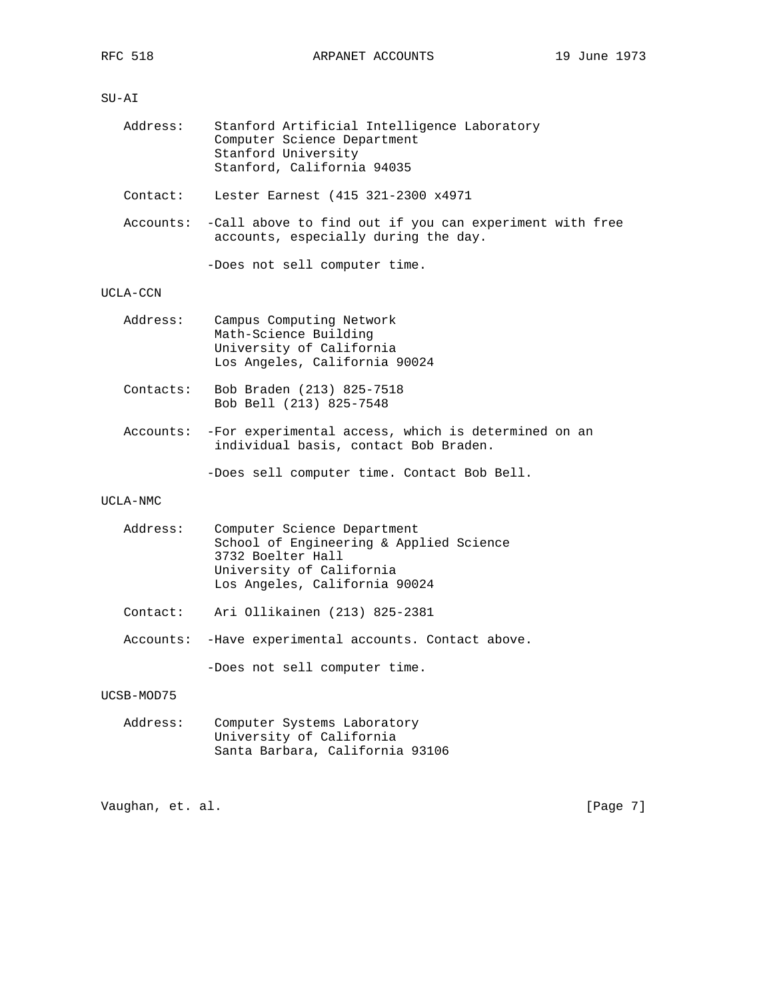# SU-AI

| Address: |                             | Stanford Artificial Intelligence Laboratory |  |
|----------|-----------------------------|---------------------------------------------|--|
|          | Computer Science Department |                                             |  |
|          | Stanford University         |                                             |  |
|          | Stanford, California 94035  |                                             |  |

Contact: Lester Earnest (415 321-2300 x4971

 Accounts: -Call above to find out if you can experiment with free accounts, especially during the day.

-Does not sell computer time.

## UCLA-CCN

| Address:  | Campus Computing Network<br>Math-Science Building<br>University of California<br>Los Angeles, California 90024 |
|-----------|----------------------------------------------------------------------------------------------------------------|
| Contacts: | Bob Braden (213) 825-7518<br>Bob Bell (213) 825-7548                                                           |
|           | Accounts: -For experimental access, which is determined on an<br>individual basis, contact Bob Braden.         |

-Does sell computer time. Contact Bob Bell.

## UCLA-NMC

| Address:   | Computer Science Department<br>School of Engineering & Applied Science<br>3732 Boelter Hall<br>University of California<br>Los Angeles, California 90024 |
|------------|----------------------------------------------------------------------------------------------------------------------------------------------------------|
| Contact:   | Ari Ollikainen (213) 825-2381                                                                                                                            |
|            | Accounts: -Have experimental accounts. Contact above.                                                                                                    |
|            | -Does not sell computer time.                                                                                                                            |
| UCSB-MOD75 |                                                                                                                                                          |
|            |                                                                                                                                                          |

| Address: |                          | Computer Systems Laboratory     |  |
|----------|--------------------------|---------------------------------|--|
|          | University of California |                                 |  |
|          |                          | Santa Barbara, California 93106 |  |

Vaughan, et. al. [Page 7]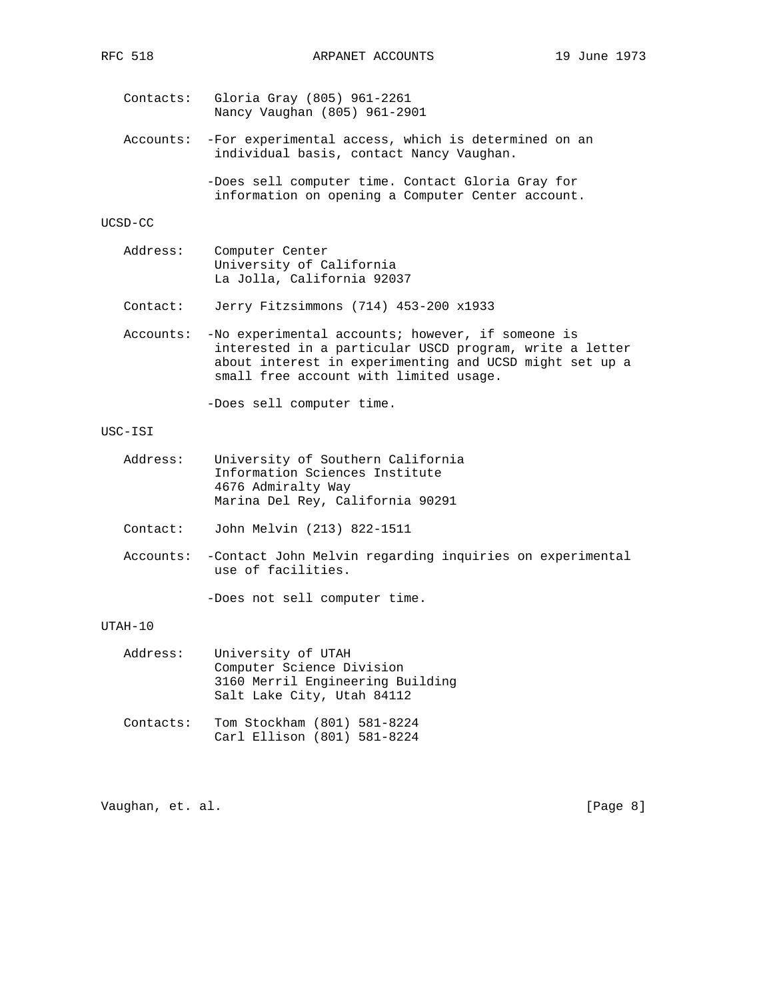Contacts: Gloria Gray (805) 961-2261 Nancy Vaughan (805) 961-2901

 Accounts: -For experimental access, which is determined on an individual basis, contact Nancy Vaughan.

> -Does sell computer time. Contact Gloria Gray for information on opening a Computer Center account.

#### UCSD-CC

| Address: | Computer Center            |
|----------|----------------------------|
|          | University of California   |
|          | La Jolla, California 92037 |

Contact: Jerry Fitzsimmons (714) 453-200 x1933

 Accounts: -No experimental accounts; however, if someone is interested in a particular USCD program, write a letter about interest in experimenting and UCSD might set up a small free account with limited usage.

-Does sell computer time.

## USC-ISI

- Address: University of Southern California Information Sciences Institute 4676 Admiralty Way Marina Del Rey, California 90291
- Contact: John Melvin (213) 822-1511
- Accounts: -Contact John Melvin regarding inquiries on experimental use of facilities.

-Does not sell computer time.

### UTAH-10

| Address: | University of UTAH               |
|----------|----------------------------------|
|          | Computer Science Division        |
|          | 3160 Merril Engineering Building |
|          | Salt Lake City, Utah 84112       |
|          |                                  |

 Contacts: Tom Stockham (801) 581-8224 Carl Ellison (801) 581-8224

Vaughan, et. al. [Page 8]